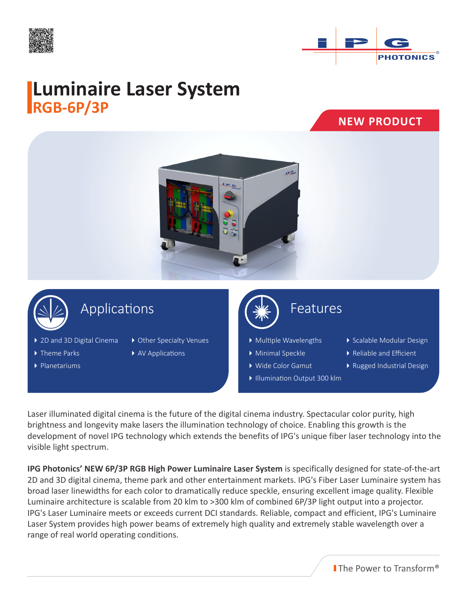



## **Luminaire Laser System RGB-6P/3P**

## **NEW PRODUCT**



Laser illuminated digital cinema is the future of the digital cinema industry. Spectacular color purity, high brightness and longevity make lasers the illumination technology of choice. Enabling this growth is the development of novel IPG technology which extends the benefits of IPG's unique fiber laser technology into the visible light spectrum.

**IPG Photonics' NEW 6P/3P RGB High Power Luminaire Laser System** is specifically designed for state-of-the-art 2D and 3D digital cinema, theme park and other entertainment markets. IPG's Fiber Laser Luminaire system has broad laser linewidths for each color to dramatically reduce speckle, ensuring excellent image quality. Flexible Luminaire architecture is scalable from 20 klm to >300 klm of combined 6P/3P light output into a projector. IPG's Laser Luminaire meets or exceeds current DCI standards. Reliable, compact and efficient, IPG's Luminaire Laser System provides high power beams of extremely high quality and extremely stable wavelength over a range of real world operating conditions.